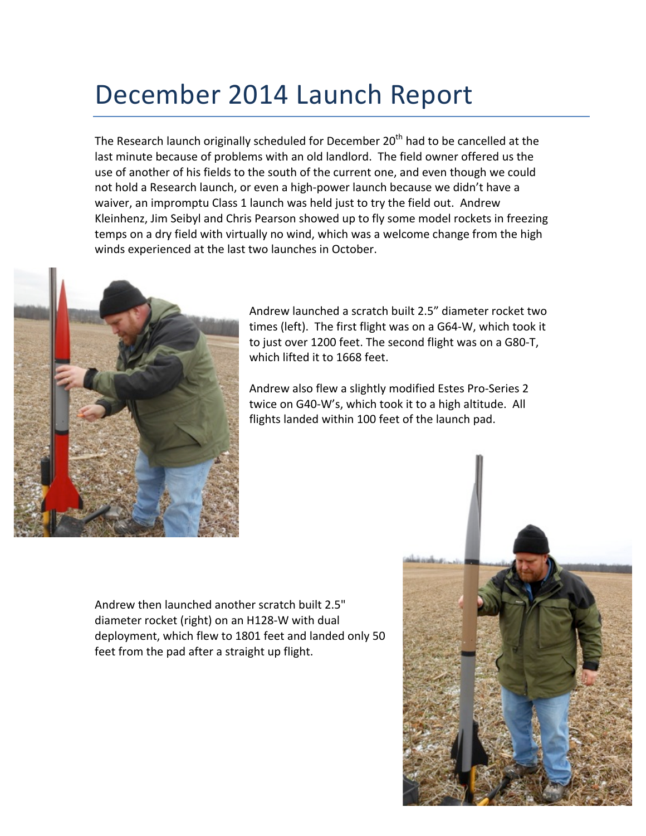## December 2014 Launch Report

The Research launch originally scheduled for December  $20<sup>th</sup>$  had to be cancelled at the last minute because of problems with an old landlord. The field owner offered us the use of another of his fields to the south of the current one, and even though we could not hold a Research launch, or even a high-power launch because we didn't have a waiver, an impromptu Class 1 launch was held just to try the field out. Andrew Kleinhenz, Jim Seibyl and Chris Pearson showed up to fly some model rockets in freezing temps on a dry field with virtually no wind, which was a welcome change from the high winds experienced at the last two launches in October.



Andrew launched a scratch built 2.5" diameter rocket two times (left). The first flight was on a G64-W, which took it to just over 1200 feet. The second flight was on a G80-T, which lifted it to 1668 feet.

Andrew also flew a slightly modified Estes Pro-Series 2 twice on G40-W's, which took it to a high altitude. All flights landed within 100 feet of the launch pad.

Andrew then launched another scratch built 2.5" diameter rocket (right) on an H128-W with dual deployment, which flew to 1801 feet and landed only 50 feet from the pad after a straight up flight.

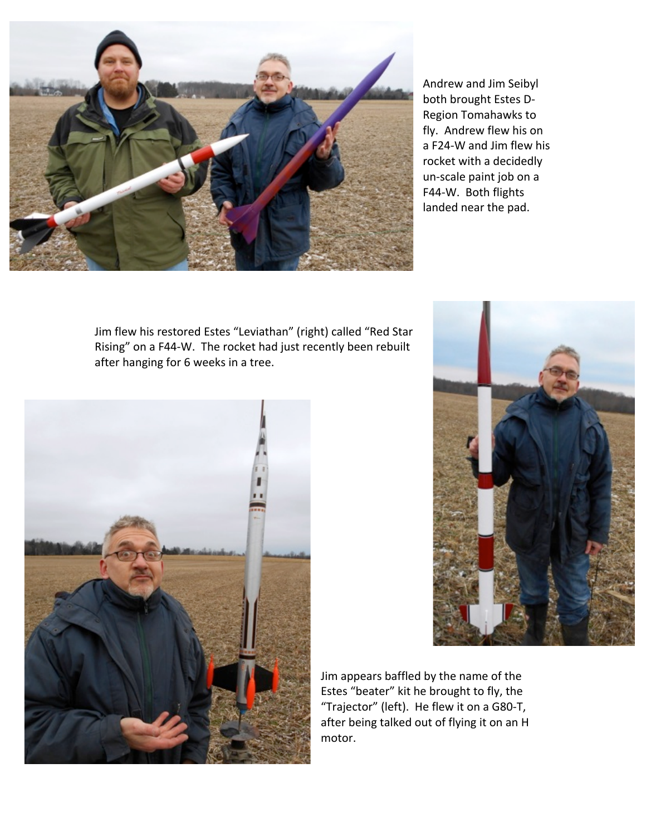

Andrew and Jim Seibyl both brought Estes D-Region Tomahawks to fly. Andrew flew his on a F24-W and Jim flew his rocket with a decidedly un-scale paint job on a F44-W. Both flights landed near the pad.

Jim flew his restored Estes "Leviathan" (right) called "Red Star Rising" on a F44-W. The rocket had just recently been rebuilt after hanging for 6 weeks in a tree.





Jim appears baffled by the name of the Estes "beater" kit he brought to fly, the "Trajector" (left). He flew it on a G80-T, after being talked out of flying it on an H motor.